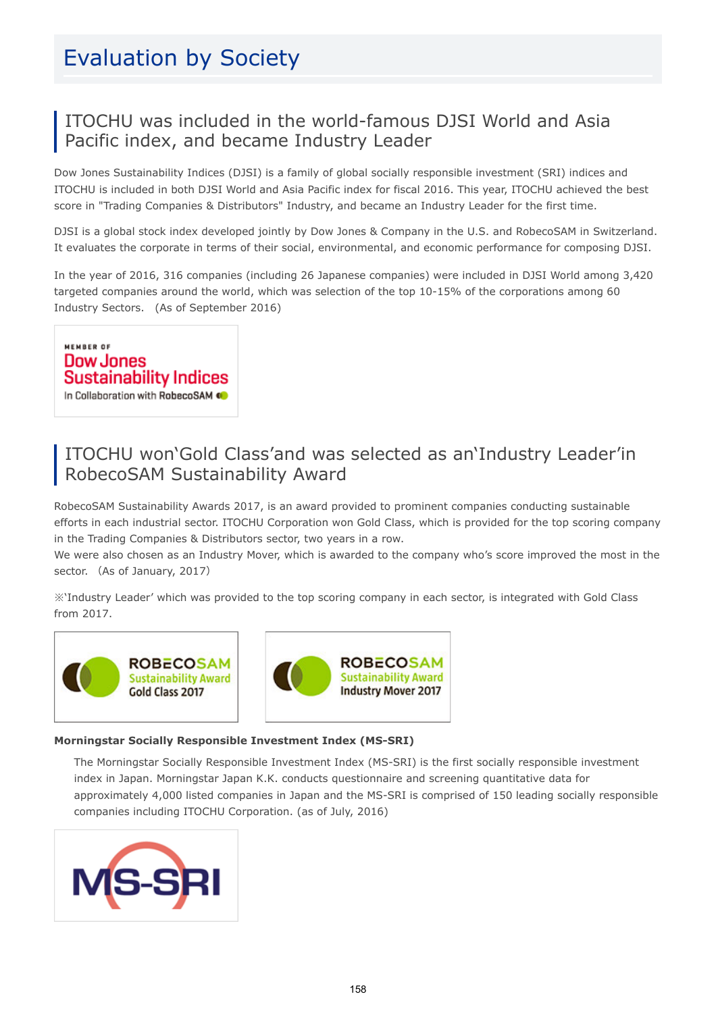# Evaluation by Society

#### ITOCHU was included in the world-famous DJSI World and Asia Pacific index, and became Industry Leader

Dow Jones Sustainability Indices (DJSI) is a family of global socially responsible investment (SRI) indices and ITOCHU is included in both DJSI World and Asia Pacific index for fiscal 2016. This year, ITOCHU achieved the best score in "Trading Companies & Distributors" Industry, and became an Industry Leader for the first time.

DJSI is a global stock index developed jointly by Dow Jones & Company in the U.S. and RobecoSAM in Switzerland. It evaluates the corporate in terms of their social, environmental, and economic performance for composing DJSI.

In the year of 2016, 316 companies (including 26 Japanese companies) were included in DJSI World among 3,420 targeted companies around the world, which was selection of the top 10-15% of the corporations among 60 Industry Sectors. (As of September 2016)

MEMBER OF **Dow Jones Sustainability Indices** In Collaboration with RobecoSAM @

### ITOCHU won'Gold Class'and was selected as an'Industry Leader'in RobecoSAM Sustainability Award

RobecoSAM Sustainability Awards 2017, is an award provided to prominent companies conducting sustainable efforts in each industrial sector. ITOCHU Corporation won Gold Class, which is provided for the top scoring company in the Trading Companies & Distributors sector, two years in a row.

We were also chosen as an Industry Mover, which is awarded to the company who's score improved the most in the sector. (As of January, 2017)

※'Industry Leader' which was provided to the top scoring company in each sector, is integrated with Gold Class from 2017.





#### Morningstar Socially Responsible Investment Index (MS-SRI)

The Morningstar Socially Responsible Investment Index (MS-SRI) is the first socially responsible investment index in Japan. Morningstar Japan K.K. conducts questionnaire and screening quantitative data for approximately 4,000 listed companies in Japan and the MS-SRI is comprised of 150 leading socially responsible companies including ITOCHU Corporation. (as of July, 2016)